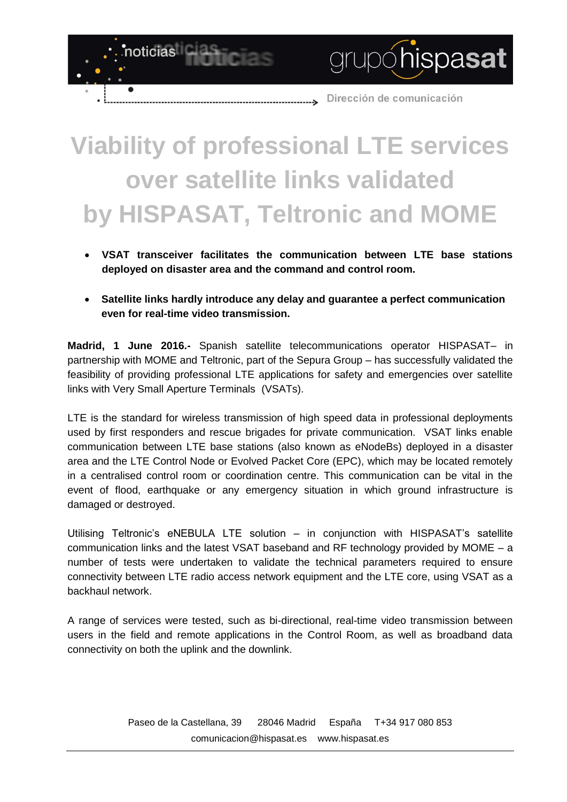grupóhispasat

## **Viability of professional LTE services over satellite links validated by HISPASAT, Teltronic and MOME**

noticias

- **VSAT transceiver facilitates the communication between LTE base stations deployed on disaster area and the command and control room.**
- **Satellite links hardly introduce any delay and guarantee a perfect communication even for real-time video transmission.**

**Madrid, 1 June 2016.-** Spanish satellite telecommunications operator HISPASAT– in partnership with MOME and Teltronic, part of the Sepura Group – has successfully validated the feasibility of providing professional LTE applications for safety and emergencies over satellite links with Very Small Aperture Terminals (VSATs).

LTE is the standard for wireless transmission of high speed data in professional deployments used by first responders and rescue brigades for private communication. VSAT links enable communication between LTE base stations (also known as eNodeBs) deployed in a disaster area and the LTE Control Node or Evolved Packet Core (EPC), which may be located remotely in a centralised control room or coordination centre. This communication can be vital in the event of flood, earthquake or any emergency situation in which ground infrastructure is damaged or destroyed.

Utilising Teltronic's eNEBULA LTE solution – in conjunction with HISPASAT's satellite communication links and the latest VSAT baseband and RF technology provided by MOME – a number of tests were undertaken to validate the technical parameters required to ensure connectivity between LTE radio access network equipment and the LTE core, using VSAT as a backhaul network.

A range of services were tested, such as bi-directional, real-time video transmission between users in the field and remote applications in the Control Room, as well as broadband data connectivity on both the uplink and the downlink.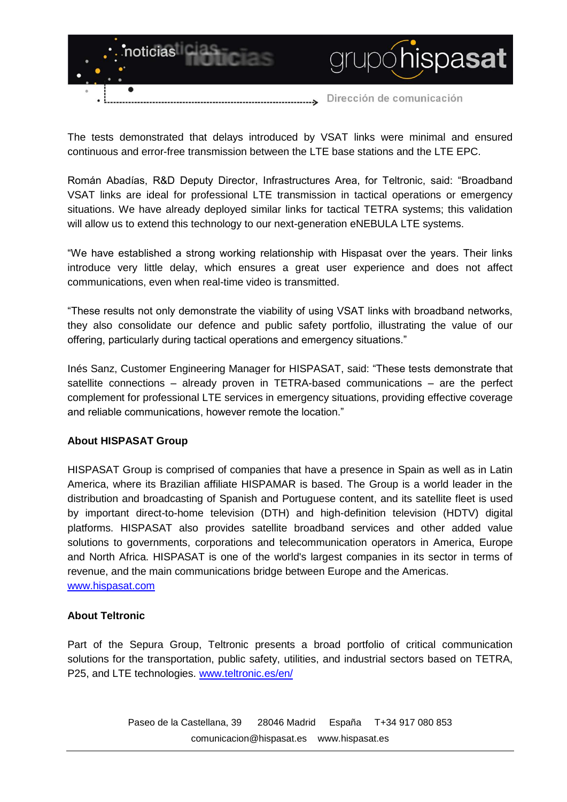

The tests demonstrated that delays introduced by VSAT links were minimal and ensured continuous and error-free transmission between the LTE base stations and the LTE EPC.

Román Abadías, R&D Deputy Director, Infrastructures Area, for Teltronic, said: "Broadband VSAT links are ideal for professional LTE transmission in tactical operations or emergency situations. We have already deployed similar links for tactical TETRA systems; this validation will allow us to extend this technology to our next-generation eNEBULA LTE systems.

"We have established a strong working relationship with Hispasat over the years. Their links introduce very little delay, which ensures a great user experience and does not affect communications, even when real-time video is transmitted.

"These results not only demonstrate the viability of using VSAT links with broadband networks, they also consolidate our defence and public safety portfolio, illustrating the value of our offering, particularly during tactical operations and emergency situations."

Inés Sanz, Customer Engineering Manager for HISPASAT, said: "These tests demonstrate that satellite connections – already proven in TETRA-based communications – are the perfect complement for professional LTE services in emergency situations, providing effective coverage and reliable communications, however remote the location."

## **About HISPASAT Group**

HISPASAT Group is comprised of companies that have a presence in Spain as well as in Latin America, where its Brazilian affiliate HISPAMAR is based. The Group is a world leader in the distribution and broadcasting of Spanish and Portuguese content, and its satellite fleet is used by important direct-to-home television (DTH) and high-definition television (HDTV) digital platforms. HISPASAT also provides satellite broadband services and other added value solutions to governments, corporations and telecommunication operators in America, Europe and North Africa. HISPASAT is one of the world's largest companies in its sector in terms of revenue, and the main communications bridge between Europe and the Americas. [www.hispasat.com](http://www.hispasat.com/)

## **About Teltronic**

Part of the Sepura Group, Teltronic presents a broad portfolio of critical communication solutions for the transportation, public safety, utilities, and industrial sectors based on TETRA, P25, and LTE technologies. [www.teltronic.es/en/](http://www.teltronic.es/en/)

> Paseo de la Castellana, 39 28046 Madrid España T+34 917 080 853 [comunicacion@hispasat.es](mailto:comunicacion@hispasat.es) www.hispasat.es